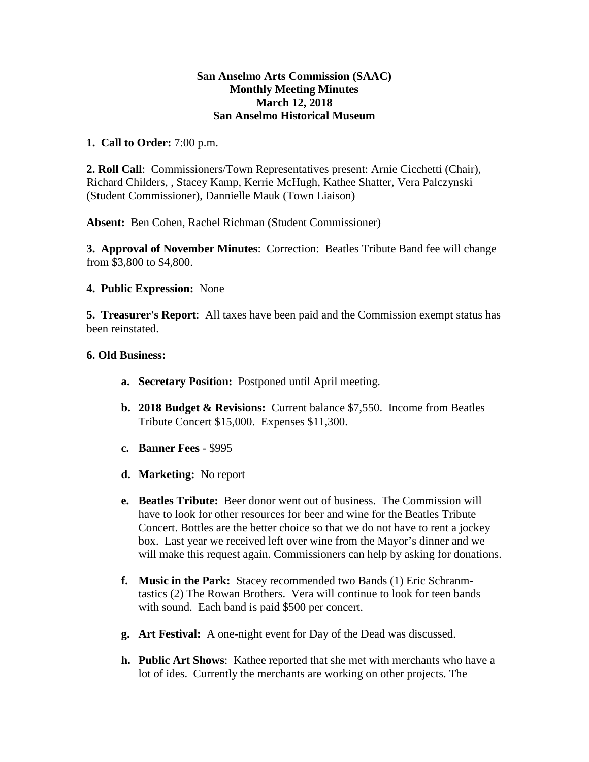## **San Anselmo Arts Commission (SAAC) Monthly Meeting Minutes March 12, 2018 San Anselmo Historical Museum**

## **1. Call to Order:** 7:00 p.m.

**2. Roll Call**: Commissioners/Town Representatives present: Arnie Cicchetti (Chair), Richard Childers, , Stacey Kamp, Kerrie McHugh, Kathee Shatter, Vera Palczynski (Student Commissioner), Dannielle Mauk (Town Liaison)

**Absent:** Ben Cohen, Rachel Richman (Student Commissioner)

**3. Approval of November Minutes**: Correction: Beatles Tribute Band fee will change from \$3,800 to \$4,800.

## **4. Public Expression:** None

**5. Treasurer's Report**: All taxes have been paid and the Commission exempt status has been reinstated.

## **6. Old Business:**

- **a. Secretary Position:** Postponed until April meeting.
- **b. 2018 Budget & Revisions:** Current balance \$7,550. Income from Beatles Tribute Concert \$15,000. Expenses \$11,300.
- **c. Banner Fees** \$995
- **d. Marketing:** No report
- **e. Beatles Tribute:** Beer donor went out of business. The Commission will have to look for other resources for beer and wine for the Beatles Tribute Concert. Bottles are the better choice so that we do not have to rent a jockey box. Last year we received left over wine from the Mayor's dinner and we will make this request again. Commissioners can help by asking for donations.
- **f. Music in the Park:** Stacey recommended two Bands (1) Eric Schranmtastics (2) The Rowan Brothers. Vera will continue to look for teen bands with sound. Each band is paid \$500 per concert.
- **g. Art Festival:** A one-night event for Day of the Dead was discussed.
- **h. Public Art Shows**: Kathee reported that she met with merchants who have a lot of ides. Currently the merchants are working on other projects. The